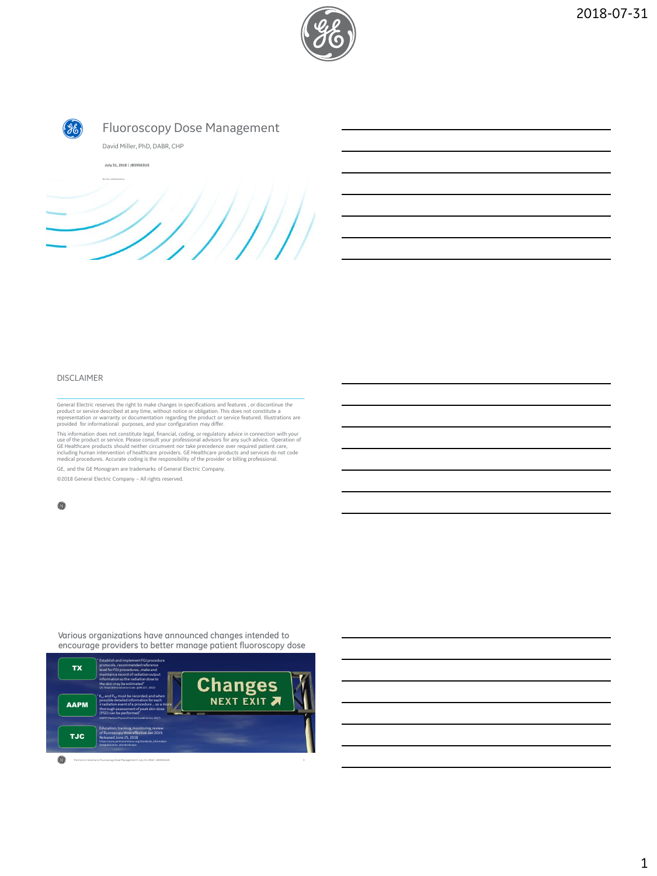



## DISCLAIMER

General Electric reserves the right to make changes in specifications and features , or discontinue the<br>product or service described at any time, without notice or obligation. This does not constitute a<br>representation or w

This information does not constitute legal, financial, coding, or regulatory advice in connection with your<br>use of the product or service. Please consult your professional advisors for any such advice. Operation of<br>GE Heal medical procedures. Accurate coding is the responsibility of the provider or billing professional.

GE, and the GE Monogram are trademarks of General Electric Company.

©2018 General Electric Company – All rights reserved.

Various organizations have announced changes intended to encourage providers to better manage patient fluoroscopy dose

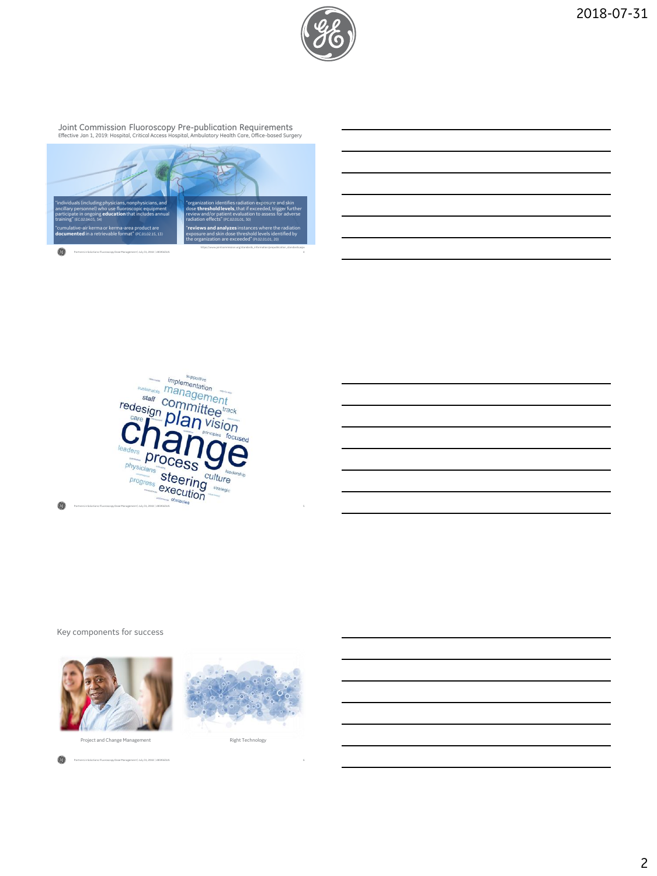

Joint Commission Fluoroscopy Pre-publication Requirements Effective Jan 1, 2019: Hospital, Critical Access Hospital, Ambulatory Health Care, Office-based Surgery



| supportive<br><b>International</b><br>implementation                                                       |   |
|------------------------------------------------------------------------------------------------------------|---|
| sustainable<br>management                                                                                  |   |
| staff committee <sup>t</sup>                                                                               |   |
| $\frac{r_{\text{edge}}}{r_{\text{edge}}}$ , $Dl$ and $\frac{V}{r_{\text{edge}}}\frac{V}{r_{\text{edge}}}}$ |   |
| principles focused                                                                                         |   |
| ar<br>leaders                                                                                              |   |
| $\mathit{pro}_\mathsf{C\acute{e}s}\mathsf{S}$<br><b>Distribute</b><br>physicians                           |   |
| leadership<br>steering<br>culture<br>progress                                                              |   |
| execution<br>strategic<br>minimizing<br><b>Services</b>                                                    |   |
| actional obstacles<br>Partners in Solutions: Fluoroscopy Dose Management   July 31, 2018   J859563US       | s |

Key components for success





0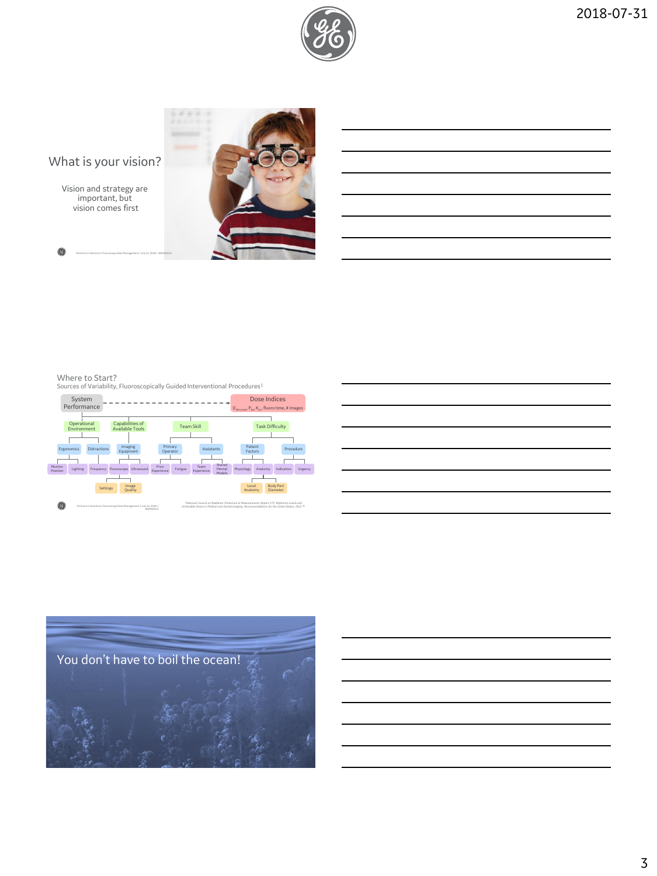

# What is your vision?

Vision and strategy are important, but vision comes first



O

Where to Start? Sources of Variability, Fluoroscopically Guided Interventional Procedures<sup>1</sup>

JB59563US





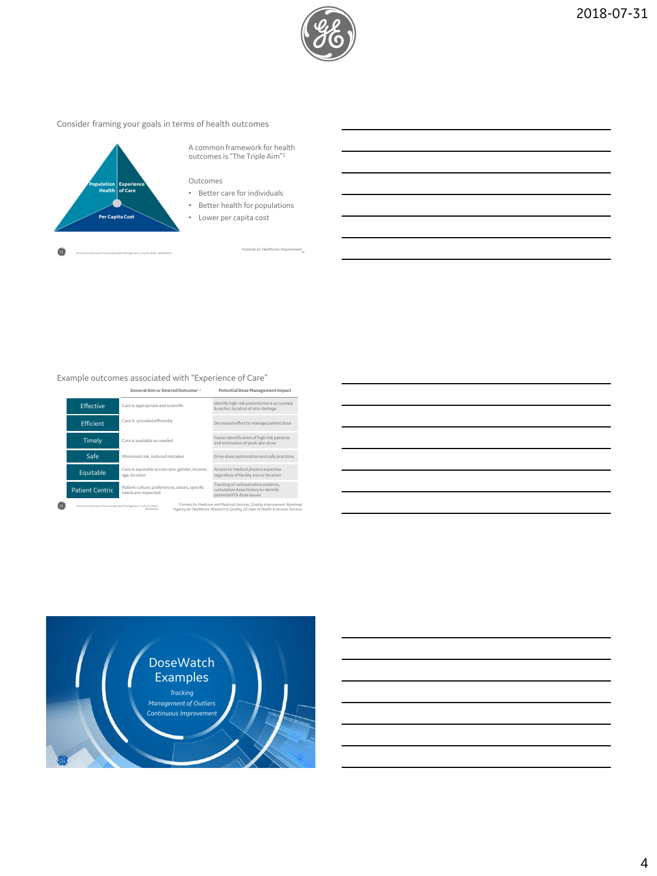

## Consider framing your goals in terms of health outcomes



A common framework for health outcomes is "The Triple Aim"<sup>1</sup>

## Outcomes

- Better care for individuals
- Better health for populations
- Lower per capita cost

*<sup>1</sup>Institute for Healthcare Improvement*

## Example outcomes associated with "Experience of Care"

JB59563US

|                                                                    | General Aim or Desired Outcome <sup>1,2</sup>                         | <b>Potential Dose Management Impact</b>                                                                  |
|--------------------------------------------------------------------|-----------------------------------------------------------------------|----------------------------------------------------------------------------------------------------------|
| <b>Effective</b>                                                   | Care is appropriate and scientific                                    | Identify high risk patients more accurately<br>& earlier: location of skin damage                        |
| <b>Ffficient</b>                                                   | Care is provided efficiently                                          | Decreased effort to manage patient dose                                                                  |
| Timelv                                                             | Care is available as needed                                           | Faster identification of high risk patients<br>and estimation of peak skin dose                          |
| Safe                                                               | Minimized risk, reduced mistakes                                      | Drive dose optimization and safe practices                                                               |
| Equitable                                                          | Care is equitable across race, gender, income,<br>age, location       | Access to medical physics expertise<br>regardless of facility size or location                           |
| <b>Patient Centric</b>                                             | Patient culture, preferences, values, specific<br>needs are respected | Tracking of radiosensitive patients.<br>cumulative dose history to identify<br>potential FGI dose issues |
| Partners in Solutions: Fluoroscopy Dose Management   July 31, 2018 |                                                                       | <sup>1</sup> Centers for Medicare and Medicaid Services, Quality Improvement Roadmap                     |

*<sup>1</sup>Centers for Medicare and Medicaid Services, Quality Improvement Roadmap <sup>2</sup>Agency for Healthcare Research & Quality, US Dept of Health & Human Services*

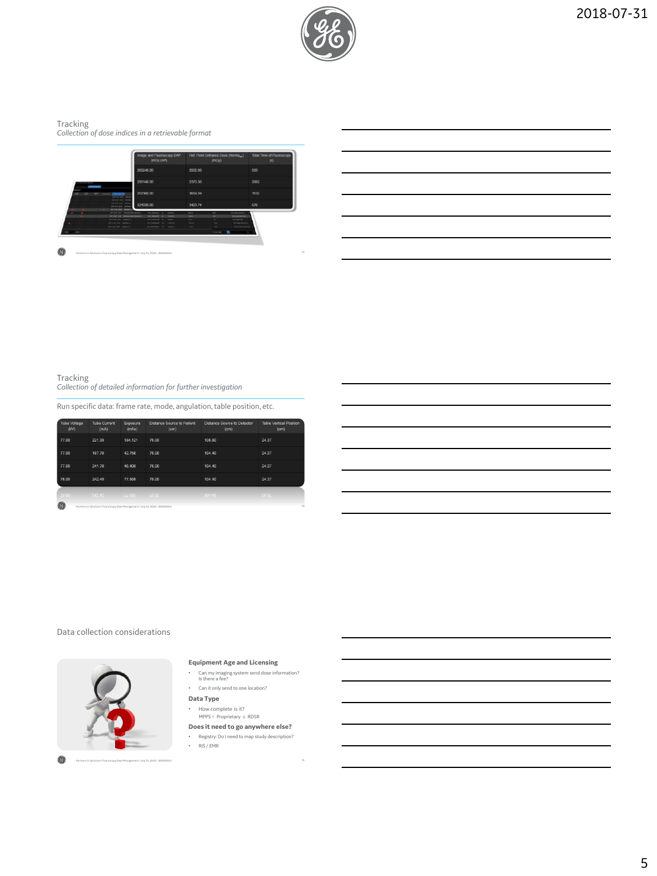

Tracking *Collection of dose indices in a retrievable format*



O 13 Partners in Solutions: Fluoroscopy Dose Management | July 31, 2018 | JB59563US

Tracking *Collection of detailed information for further investigation*

Run specific data: frame rate, mode, angulation, table position, etc.

| <b>Tube Voltage</b><br>(kV) | <b>Tube Current</b><br>(mA)                                                    | Exposure<br>(mAs) | <b>Distance Source to Patient</b><br>(cm) | <b>Distance Source to Detector</b><br>(c <sub>m</sub> ) | <b>Table Vertical Position</b><br>(cm) |
|-----------------------------|--------------------------------------------------------------------------------|-------------------|-------------------------------------------|---------------------------------------------------------|----------------------------------------|
| 77.00                       | 221.30                                                                         | 184.121           | 75.00                                     | 108.60                                                  | 24.37                                  |
| 77.00                       | 187.70                                                                         | 42.758            | 75.00                                     | 104.40                                                  | 24.37                                  |
| 77.00                       | 241.70                                                                         | 46.406            | 75.00                                     | 104.40                                                  | 24.37                                  |
| 78.00                       | 242.40                                                                         | 77.568            | 75.00                                     | 104.40                                                  | 24.37                                  |
| 78.00                       | 242.40 77.568 75.00                                                            |                   |                                           | 104.40                                                  | 24.37                                  |
| 0                           | Partners in Solutions: Fluoroscopy Dose Management   July 31, 2018   J859563US |                   |                                           |                                                         | $^{14}$                                |

|  | Data collection considerations |
|--|--------------------------------|
|  |                                |



## **Equipment Age and Licensing**

- Can my imaging system send dose information? Is there a fee?
- Can it only send to one location?
- **Data Type**
- How complete is it? MPPS < Proprietary ≤ RDSR
- 
- **Does it need to go anywhere else?** • Registry: Do I need to map study description?
- $\cdot$  RIS / EMR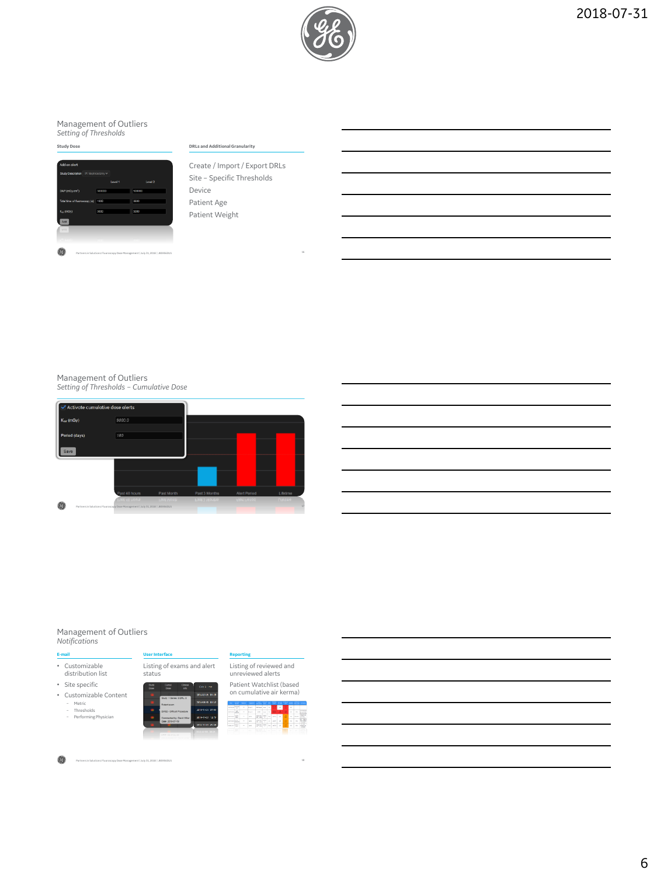

# Management of Outliers *Setting of Thresholds*



Create / Import / Export DRLs Site – Specific Thresholds Device Patient Age Patient Weight

# Management of Outliers *Setting of Thresholds – Cumulative Dose*



### Management of Outliers *Notifications*



**E-mail User Interface** • Customizable distribution list • Site specific • Customizable Content Listing of exams and alert status







Listing of reviewed and unreviewed alerts

**Reporting**

0 Partners in Solutions: Fluoroscopy Dose Management | July 31, 2018 | J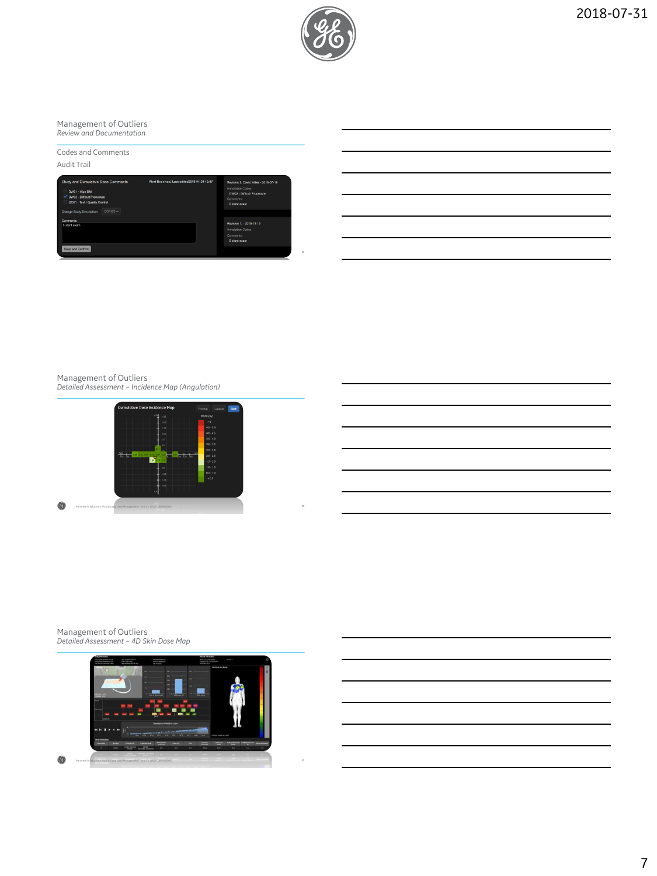

Management of Outliers *Review and Documentation*

Codes and Comments Audit Trail



## Management of Outliers *Detailed Assessment – Incidence Map (Angulation)*



Management of Outliers *Detailed Assessment – 4D Skin Dose Map*

0

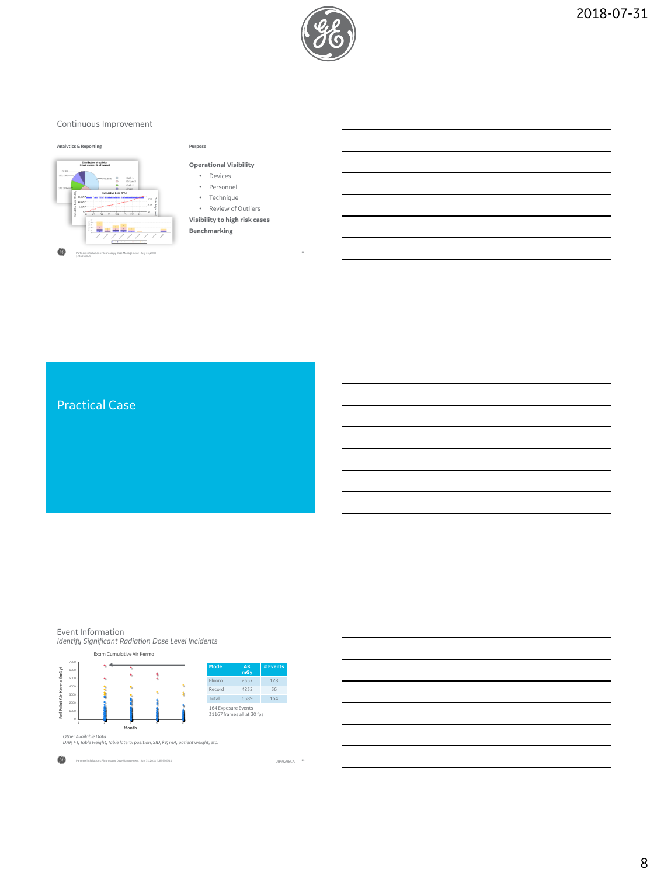

## Continuous Improvement



| . . | . |  |  |  |
|-----|---|--|--|--|
|     |   |  |  |  |
|     |   |  |  |  |
|     |   |  |  |  |

- **Operational Visibility**
	- Devices
	- Personnel
	- Technique
	- Review of Outliers
- **Visibility to high risk cases Benchmarking**

Practical Case

Event Information

*Identify Significant Radiation Dose Level Incidents*



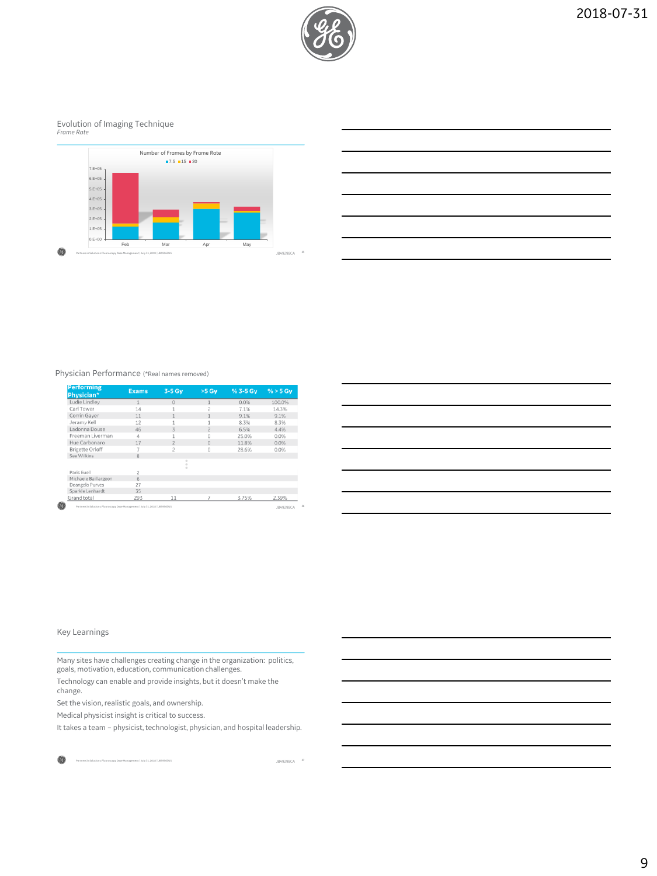

# Evolution of Imaging Technique *Frame Rate*





## Physician Performance (\*Real names removed)

| <b>Performing</b><br>Physician* | <b>Exams</b> | $3-5$ Gy       | $>5$ Gy        | % 3-5 Gv | $% > 5$ Gv |
|---------------------------------|--------------|----------------|----------------|----------|------------|
| Ludie Lindley                   |              | $\Omega$       |                | 0.0%     | 100.0%     |
| Carl Tower                      | 14           |                |                | 7.1%     | 14.3%      |
| Corrin Gaver                    | 11           |                |                | 9.1%     | 9.1%       |
| Jeramy Kell                     | 12           |                |                | 8.3%     | 8.3%       |
| Ladonna Douse                   | 46           | 3              | $\overline{c}$ | 6.5%     | 4.4%       |
| Freeman Liverman                | $\Delta$     |                | $\Omega$       | 25.0%    | 0.0%       |
| Hue Carbonaro                   | 17           |                | $\Omega$       | 11.8%    | 0.0%       |
| <b>Brigette Orloff</b>          |              | $\overline{c}$ | $\Omega$       | 28.6%    | 0.0%       |
| See Wilkins                     | 8            |                |                |          |            |
|                                 |              | $\sim$         |                |          |            |
| Paris Euell                     |              |                |                |          |            |
| Michaele Baillargeon            | 6            |                |                |          |            |
| Deangelo Purves                 | 27           |                |                |          |            |
| Sparkle Lenhardt                | 35           |                |                |          |            |
| Grand total                     | 293          | 11             |                | 3.75%    | 2.39%      |

| <u> 1989 - Johann Barn, mars ann an t-Amhain ann an t-Amhain ann an t-Amhain ann an t-Amhain an t-Amhain ann an t-</u> |  |                                           |
|------------------------------------------------------------------------------------------------------------------------|--|-------------------------------------------|
| <u> 1989 - Johann Stoff, deutscher Stoffen und der Stoffen und der Stoffen und der Stoffen und der Stoffen und der</u> |  |                                           |
|                                                                                                                        |  |                                           |
| <u> 1980 - An Dùbhlachd ann an Dùbhlachd ann an Dùbhlachd ann an Dùbhlachd ann an Dùbhlachd ann an Dùbhlachd ann </u>  |  |                                           |
| <u> 1989 - Johann Stoff, deutscher Stoff, der Stoff, der Stoff, der Stoff, der Stoff, der Stoff, der Stoff, der S</u>  |  |                                           |
|                                                                                                                        |  | $\sim$ $\sim$ $\sim$ $\sim$ $\sim$ $\sim$ |
|                                                                                                                        |  |                                           |

## Key Learnings

Many sites have challenges creating change in the organization: politics, goals, motivation, education, communication challenges.

Technology can enable and provide insights, but it doesn't make the change.

Set the vision, realistic goals, and ownership.

Medical physicist insight is critical to success.

It takes a team – physicist, technologist, physician, and hospital leadership.